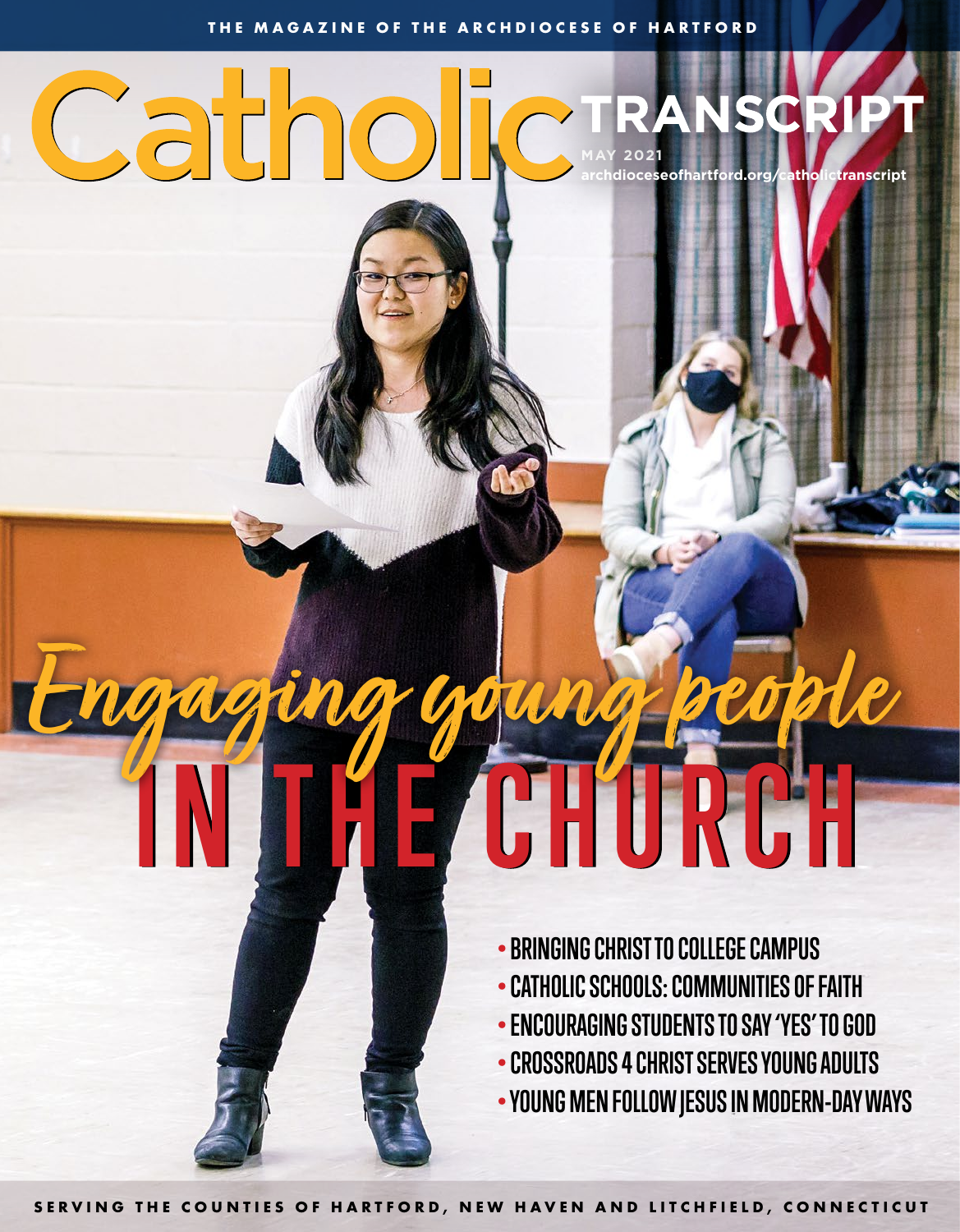### Catho **MAY 2021 archdioceseofhartford.org/catholictranscript**

# **IN THE CHURCH Engaging young people**

- **•BRINGING CHRIST TO COLLEGE CAMPUS**
- **•CATHOLIC SCHOOLS: COMMUNITIES OF FAITH**
- **•ENCOURAGING STUDENTS TO SAY 'YES' TO GOD**
- **•CROSSROADS 4 CHRIST SERVES YOUNG ADULTS**
- **YOUNG MEN FOLLOW JESUS IN MODERN-DAY WAYS**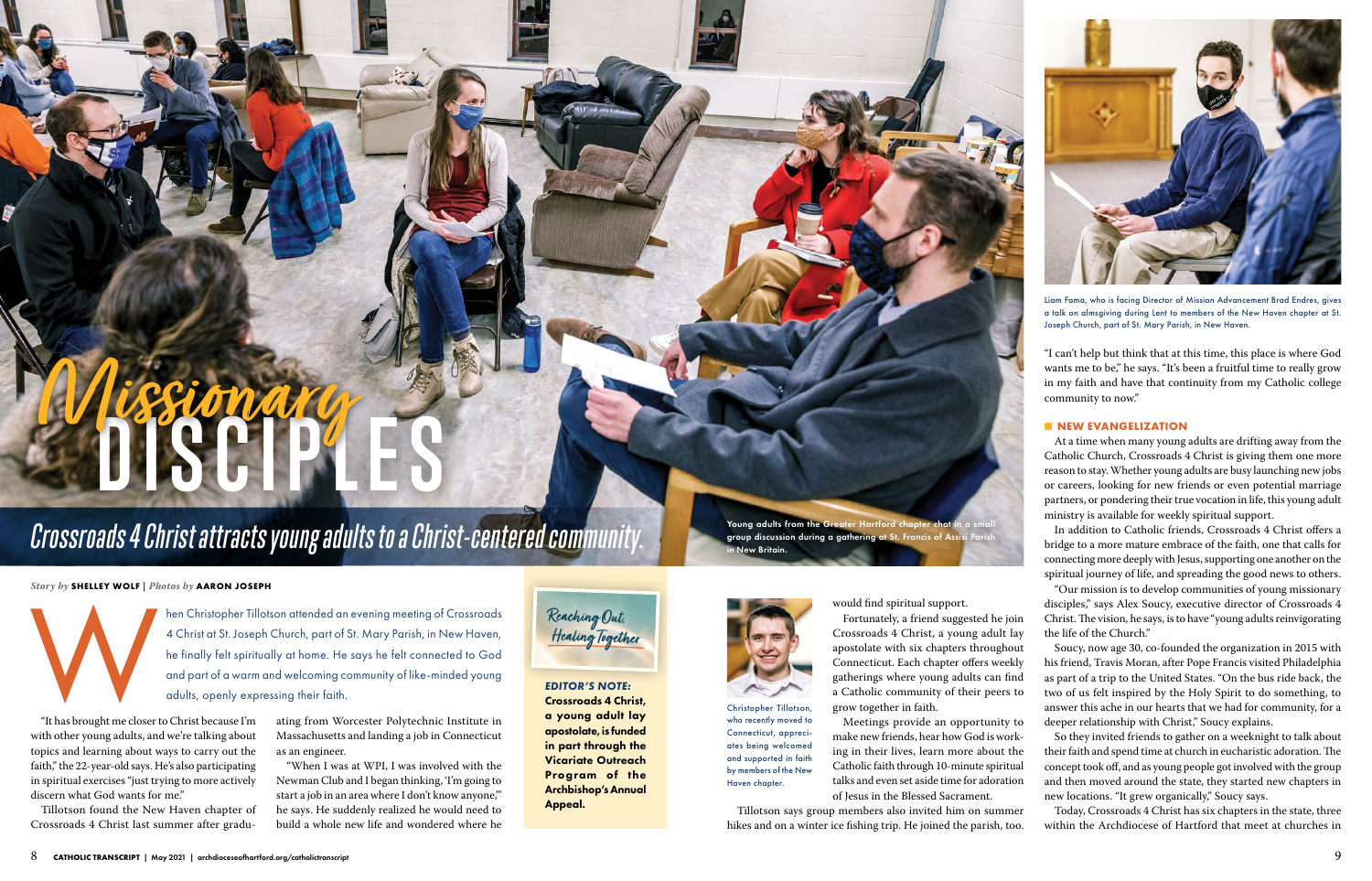#### *EDITOR'S NOTE:* Crossroads 4 Christ, a young adult lay apostolate, is funded in part through the Vicariate Outreach Program of the Archbishop's Annual Appeal.

Young adults from the Greater Hartford chapter chat in a small group discussion during a gathering at St. Francis of Assisi Parish lew Britain.

#### *Story by* **SHELLEY WOLF** *| Photos by* **AARON JOSEPH**

A Christopher Tillotson attended an evening meeting of Crossroads<br>4 Christ at St. Joseph Church, part of St. Mary Parish, in New Haven,<br>he finally felt spiritually at home. He says he felt connected to God<br>and part of a wa 4 Christ at St. Joseph Church, part of St. Mary Parish, in New Haven, he finally felt spiritually at home. He says he felt connected to God and part of a warm and welcoming community of like-minded young adults, openly expressing their faith.

Meetings provide an opportunity to make new friends, hear how God is working in their lives, learn more about the Catholic faith through 10-minute spiritual talks and even set aside time for adoration of Jesus in the Blessed Sacrament.

Soucy, now age 30, co-founded the organization in 2015 with his friend, Travis Moran, after Pope Francis visited Philadelphia as part of a trip to the United States. "On the bus ride back, the two of us felt inspired by the Holy Spirit to do something, to answer this ache in our hearts that we had for community, for a deeper relationship with Christ," Soucy explains.

Tillotson says group members also invited him on summer hikes and on a winter ice fishing trip. He joined the parish, too.

"I can't help but think that at this time, this place is where God wants me to be," he says. "It's been a fruitful time to really grow in my faith and have that continuity from my Catholic college community to now."

#### **NEW EVANGELIZATION**

At a time when many young adults are drifting away from the Catholic Church, Crossroads 4 Christ is giving them one more reason to stay. Whether young adults are busy launching new jobs or careers, looking for new friends or even potential marriage partners, or pondering their true vocation in life, this young adult ministry is available for weekly spiritual support.

In addition to Catholic friends, Crossroads 4 Christ offers a bridge to a more mature embrace of the faith, one that calls for connecting more deeply with Jesus, supporting one another on the spiritual journey of life, and spreading the good news to others.

"Our mission is to develop communities of young missionary disciples," says Alex Soucy, executive director of Crossroads 4 Christ. The vision, he says, is to have "young adults reinvigorating the life of the Church."



So they invited friends to gather on a weeknight to talk about their faith and spend time at church in eucharistic adoration. The concept took off, and as young people got involved with the group and then moved around the state, they started new chapters in new locations. "It grew organically," Soucy says.

Today, Crossroads 4 Christ has six chapters in the state, three within the Archdiocese of Hartford that meet at churches in

### *Crossroads 4 Christ attracts young adults to a Christ-centered community.*

# **DISCIPLES Missionary**

"It has brought me closer to Christ because I'm with other young adults, and we're talking about topics and learning about ways to carry out the faith," the 22-year-old says. He's also participating in spiritual exercises "just trying to more actively discern what God wants for me."

Tillotson found the New Haven chapter of Crossroads 4 Christ last summer after graduating from Worcester Polytechnic Institute in Massachusetts and landing a job in Connecticut as an engineer.

"When I was at WPI, I was involved with the Newman Club and I began thinking, 'I'm going to start a job in an area where I don't know anyone,'" he says. He suddenly realized he would need to build a whole new life and wondered where he

# Reaching Out,<br>Healing Together

who recently moved to Connecticut, appreciates being welcomed and supported in faith by members of the New Haven chapter.



Liam Fama, who is facing Director of Mission Advancement Brad Endres, gives a talk on almsgiving during Lent to members of the New Haven chapter at St. Joseph Church, part of St. Mary Parish, in New Haven.